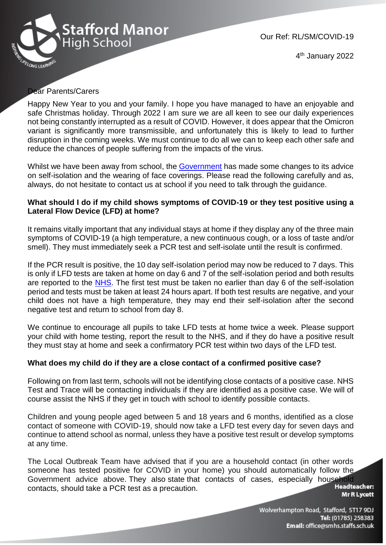

Our Ref: RL/SM/COVID-19

4<sup>th</sup> January 2022

## Dear Parents/Carers

Happy New Year to you and your family. I hope you have managed to have an enjoyable and safe Christmas holiday. Through 2022 I am sure we are all keen to see our daily experiences not being constantly interrupted as a result of COVID. However, it does appear that the Omicron variant is significantly more transmissible, and unfortunately this is likely to lead to further disruption in the coming weeks. We must continue to do all we can to keep each other safe and reduce the chances of people suffering from the impacts of the virus.

Whilst we have been away from school, the [Government](https://www.gov.uk/government/publications/what-parents-and-carers-need-to-know-about-early-years-providers-schools-and-colleges-during-the-coronavirus-covid-19-outbreak/step-4-update-what-parents-and-carers-need-to-know-about-early-years-providers-schools-and-colleges) has made some changes to its advice on self-isolation and the wearing of face coverings. Please read the following carefully and as, always, do not hesitate to contact us at school if you need to talk through the guidance.

## **What should I do if my child shows symptoms of COVID-19 or they test positive using a Lateral Flow Device (LFD) at home?**

It remains vitally important that any individual stays at home if they display any of the three main symptoms of COVID-19 (a high temperature, a new continuous cough, or a loss of taste and/or smell). They must immediately seek a PCR test and self-isolate until the result is confirmed.

If the PCR result is positive, the 10 day self-isolation period may now be reduced to 7 days. This is only if LFD tests are taken at home on day 6 and 7 of the self-isolation period and both results are reported to the [NHS.](https://www.gov.uk/report-covid19-result?utm_source=2%20January%202022%20C19&utm_medium=Daily%20Email%20C19&utm_campaign=DfE%20C19) The first test must be taken no earlier than day 6 of the self-isolation period and tests must be taken at least 24 hours apart. If both test results are negative, and your child does not have a high temperature, they may end their self-isolation after the second negative test and return to school from day 8.

We continue to encourage all pupils to take LFD tests at home twice a week. Please support your child with home testing, report the result to the NHS, and if they do have a positive result they must stay at home and seek a confirmatory PCR test within two days of the LFD test.

## **What does my child do if they are a close contact of a confirmed positive case?**

Following on from last term, schools will not be identifying close contacts of a positive case. NHS Test and Trace will be contacting individuals if they are identified as a positive case. We will of course assist the NHS if they get in touch with school to identify possible contacts.

Children and young people aged between 5 and 18 years and 6 months, identified as a close contact of someone with COVID-19, should now take a LFD test every day for seven days and continue to attend school as normal, unless they have a positive test result or develop symptoms at any time.

The Local Outbreak Team have advised that if you are a household contact (in other words someone has tested positive for COVID in your home) you should automatically follow the Government advice above. They also state that contacts of cases, especially household<br>contacts should take a PCR test as a precaution contacts, should take a PCR test as a precaution.

**Mr R Lycett** 

Wolverhampton Road, Stafford, ST17 9DJ Tel: (01785) 258383 Email: office@smhs.staffs.sch.uk